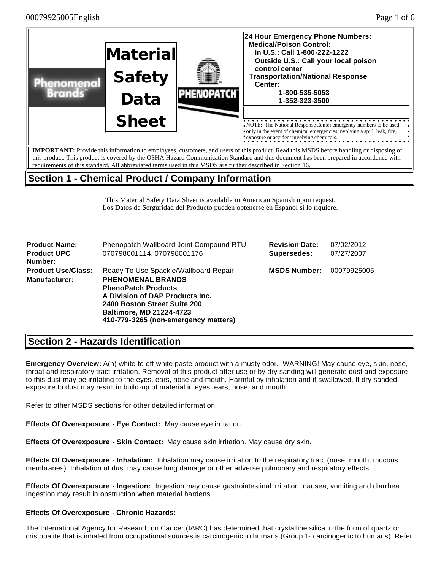

# **Section 1 - Chemical Product / Company Information**

This Material Safety Data Sheet is available in American Spanish upon request. Los Datos de Serguridad del Producto pueden obtenerse en Espanol si lo riquiere.

| <b>Product Name:</b><br><b>Product UPC</b><br>Number:                                                                                                                                                                                                                                              | Phenopatch Wallboard Joint Compound RTU<br>070798001114, 070798001176 | <b>Revision Date:</b><br>Supersedes: | 07/02/2012<br>07/27/2007 |
|----------------------------------------------------------------------------------------------------------------------------------------------------------------------------------------------------------------------------------------------------------------------------------------------------|-----------------------------------------------------------------------|--------------------------------------|--------------------------|
| <b>Product Use/Class:</b><br>Ready To Use Spackle/Wallboard Repair<br><b>Manufacturer:</b><br><b>PHENOMENAL BRANDS</b><br><b>PhenoPatch Products</b><br>A Division of DAP Products Inc.<br>2400 Boston Street Suite 200<br><b>Baltimore, MD 21224-4723</b><br>410-779-3265 (non-emergency matters) |                                                                       | <b>MSDS Number:</b>                  | 00079925005              |

# **Section 2 - Hazards Identification**

**Emergency Overview:** A(n) white to off-white paste product with a musty odor. WARNING! May cause eye, skin, nose, throat and respiratory tract irritation. Removal of this product after use or by dry sanding will generate dust and exposure to this dust may be irritating to the eyes, ears, nose and mouth. Harmful by inhalation and if swallowed. If dry-sanded, exposure to dust may result in build-up of material in eyes, ears, nose, and mouth.

Refer to other MSDS sections for other detailed information.

**Effects Of Overexposure - Eye Contact:** May cause eye irritation.

**Effects Of Overexposure - Skin Contact:** May cause skin irritation. May cause dry skin.

**Effects Of Overexposure - Inhalation:** Inhalation may cause irritation to the respiratory tract (nose, mouth, mucous membranes). Inhalation of dust may cause lung damage or other adverse pulmonary and respiratory effects.

**Effects Of Overexposure - Ingestion:** Ingestion may cause gastrointestinal irritation, nausea, vomiting and diarrhea. Ingestion may result in obstruction when material hardens.

### **Effects Of Overexposure - Chronic Hazards:**

The International Agency for Research on Cancer (IARC) has determined that crystalline silica in the form of quartz or cristobalite that is inhaled from occupational sources is carcinogenic to humans (Group 1- carcinogenic to humans). Refer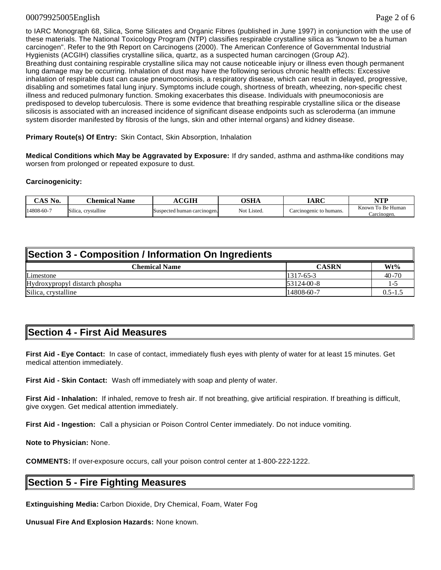#### 00079925005English Page 2 of 6

to IARC Monograph 68, Silica, Some Silicates and Organic Fibres (published in June 1997) in conjunction with the use of these materials. The National Toxicology Program (NTP) classifies respirable crystalline silica as "known to be a human carcinogen". Refer to the 9th Report on Carcinogens (2000). The American Conference of Governmental Industrial Hygienists (ACGIH) classifies crystalline silica, quartz, as a suspected human carcinogen (Group A2). Breathing dust containing respirable crystalline silica may not cause noticeable injury or illness even though permanent lung damage may be occurring. Inhalation of dust may have the following serious chronic health effects: Excessive inhalation of respirable dust can cause pneumoconiosis, a respiratory disease, which can result in delayed, progressive, disabling and sometimes fatal lung injury. Symptoms include cough, shortness of breath, wheezing, non-specific chest illness and reduced pulmonary function. Smoking exacerbates this disease. Individuals with pneumoconiosis are predisposed to develop tuberculosis. There is some evidence that breathing respirable crystalline silica or the disease silicosis is associated with an increased incidence of significant disease endpoints such as scleroderma (an immune system disorder manifested by fibrosis of the lungs, skin and other internal organs) and kidney disease.

**Primary Route(s) Of Entry:** Skin Contact, Skin Absorption, Inhalation

**Medical Conditions which May be Aggravated by Exposure:** If dry sanded, asthma and asthma-like conditions may worsen from prolonged or repeated exposure to dust.

#### **Carcinogenicity:**

| $^{\circ}$ AS No. | <b>Name</b><br>.'hemical           | CGIH                        | OSHA        | ADC<br>m                | VTD<br>,,,,                         |
|-------------------|------------------------------------|-----------------------------|-------------|-------------------------|-------------------------------------|
| 14808-60-7        | $\sim$<br>. crystalline<br>Silica. | Suspected human carcinogen. | Not Listed. | Carcinogenic to humans. | Known<br>To Be Human<br>∴arcınogen. |

| Section 3 - Composition / Information On Ingredients |              |             |  |  |
|------------------------------------------------------|--------------|-------------|--|--|
| <b>Chemical Name</b>                                 | <b>CASRN</b> | $Wt\%$      |  |  |
| Limestone                                            | $1317-65-3$  | $40 - 70$   |  |  |
| Hydroxypropyl distarch phospha                       | $53124-00-8$ | $1 - 5$     |  |  |
| Silica, crystalline                                  | 14808-60-7   | $0.5 - 1.5$ |  |  |

### **Section 4 - First Aid Measures**

**First Aid - Eye Contact:** In case of contact, immediately flush eyes with plenty of water for at least 15 minutes. Get medical attention immediately.

**First Aid - Skin Contact:** Wash off immediately with soap and plenty of water.

**First Aid - Inhalation:** If inhaled, remove to fresh air. If not breathing, give artificial respiration. If breathing is difficult, give oxygen. Get medical attention immediately.

**First Aid - Ingestion:** Call a physician or Poison Control Center immediately. Do not induce vomiting.

**Note to Physician:** None.

**COMMENTS:** If over-exposure occurs, call your poison control center at 1-800-222-1222.

### **Section 5 - Fire Fighting Measures**

**Extinguishing Media:** Carbon Dioxide, Dry Chemical, Foam, Water Fog

**Unusual Fire And Explosion Hazards:** None known.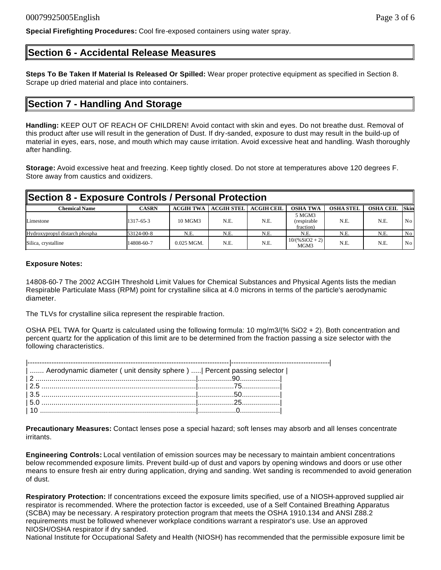# **Section 6 - Accidental Release Measures**

**Special Firefighting Procedures:** Cool fire-exposed containers using water spray.

**Steps To Be Taken If Material Is Released Or Spilled:** Wear proper protective equipment as specified in Section 8. Scrape up dried material and place into containers.

### **Section 7 - Handling And Storage**

**Handling:** KEEP OUT OF REACH OF CHILDREN! Avoid contact with skin and eyes. Do not breathe dust. Removal of this product after use will result in the generation of Dust. If dry-sanded, exposure to dust may result in the build-up of material in eyes, ears, nose, and mouth which may cause irritation. Avoid excessive heat and handling. Wash thoroughly after handling.

**Storage:** Avoid excessive heat and freezing. Keep tightly closed. Do not store at temperatures above 120 degrees F. Store away from caustics and oxidizers.

| Section 8 - Exposure Controls / Personal Protection |              |                  |                   |                   |                                    |                  |                  |                 |
|-----------------------------------------------------|--------------|------------------|-------------------|-------------------|------------------------------------|------------------|------------------|-----------------|
| <b>Chemical Name</b>                                | <b>CASRN</b> | <b>ACGIH TWA</b> | <b>ACGIH STEL</b> | <b>ACGIH CEIL</b> | <b>OSHA TWA</b>                    | <b>OSHA STEL</b> | <b>OSHA CEIL</b> | <b>Skin</b>     |
| Limestone                                           | 1317-65-3    | 10 MGM3          | N.E.              | N.E.              | 5 MGM3<br>(respirable<br>fraction) | N.E.             | N.E.             | No              |
| Hydroxypropyl distarch phospha                      | 53124-00-8   | N.E.             | N.E.              | N.E.              | N.E.                               | N.E.             | N.E.             | No              |
| Silica, crystalline                                 | 14808-60-7   | $0.025$ MGM.     | N.E.              | N.E.              | $10/(96SiO2 + 2)$<br>MGM3          | N.E.             | N.E.             | No <sub>1</sub> |

#### **Exposure Notes:**

14808-60-7 The 2002 ACGIH Threshold Limit Values for Chemical Substances and Physical Agents lists the median Respirable Particulate Mass (RPM) point for crystalline silica at 4.0 microns in terms of the particle's aerodynamic diameter.

The TLVs for crystalline silica represent the respirable fraction.

OSHA PEL TWA for Quartz is calculated using the following formula: 10 mg/m3/(% SiO2 + 2). Both concentration and percent quartz for the application of this limit are to be determined from the fraction passing a size selector with the following characteristics.

| Aerodynamic diameter ( unit density sphere )    Percent passing selector |  |
|--------------------------------------------------------------------------|--|
|                                                                          |  |
|                                                                          |  |
|                                                                          |  |
|                                                                          |  |
|                                                                          |  |

**Precautionary Measures:** Contact lenses pose a special hazard; soft lenses may absorb and all lenses concentrate irritants.

**Engineering Controls:** Local ventilation of emission sources may be necessary to maintain ambient concentrations below recommended exposure limits. Prevent build-up of dust and vapors by opening windows and doors or use other means to ensure fresh air entry during application, drying and sanding. Wet sanding is recommended to avoid generation of dust.

**Respiratory Protection:** If concentrations exceed the exposure limits specified, use of a NIOSH-approved supplied air respirator is recommended. Where the protection factor is exceeded, use of a Self Contained Breathing Apparatus (SCBA) may be necessary. A respiratory protection program that meets the OSHA 1910.134 and ANSI Z88.2 requirements must be followed whenever workplace conditions warrant a respirator's use. Use an approved NIOSH/OSHA respirator if dry sanded.

National Institute for Occupational Safety and Health (NIOSH) has recommended that the permissible exposure limit be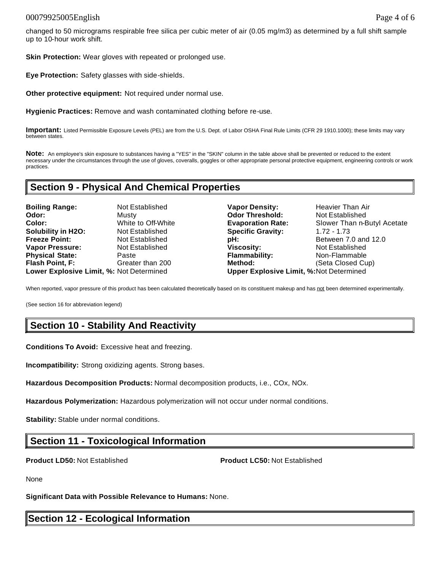### 00079925005English Page 4 of 6

**Skin Protection:** Wear gloves with repeated or prolonged use.

**Eye Protection:** Safety glasses with side-shields.

**Other protective equipment:** Not required under normal use.

**Hygienic Practices:** Remove and wash contaminated clothing before re-use.

**Important:** Listed Permissible Exposure Levels (PEL) are from the U.S. Dept. of Labor OSHA Final Rule Limits (CFR 29 1910.1000); these limits may vary between states.

**Note:** An employee's skin exposure to substances having a "YES" in the "SKIN" column in the table above shall be prevented or reduced to the extent necessary under the circumstances through the use of gloves, coveralls, goggles or other appropriate personal protective equipment, engineering controls or work practices.

### **Section 9 - Physical And Chemical Properties**

**Boiling Range:** Not Established **Vapor Density:** Heavier Than Air **Odor:** Musty **Odor Threshold:** Not Established **Color:** White to Off-White **Evaporation Rate:** Slower Than n-Butyl Acetate **Solubility in H2O:** Not Established **Specific Gravity:** 1.72 - 1.73 **Freeze Point:** Not Established **pH: pH:** Between 7.0 and 12.0 **Vapor Pressure: Not Established <b>Viscosity: Not Established Viscosity:** Not Established **Physical State:** Paste **Flammability:** Non-Flammable **Flash Point, F:** Greater than 200 **Method:** (Seta Closed Cup) **Lower Explosive Limit, %:** Not Determined **Upper Explosive Limit, %:**Not Determined

When reported, vapor pressure of this product has been calculated theoretically based on its constituent makeup and has not been determined experimentally.

(See section 16 for abbreviation legend)

# **Section 10 - Stability And Reactivity**

**Conditions To Avoid:** Excessive heat and freezing.

**Incompatibility:** Strong oxidizing agents. Strong bases.

**Hazardous Decomposition Products:** Normal decomposition products, i.e., COx, NOx.

**Hazardous Polymerization:** Hazardous polymerization will not occur under normal conditions.

**Stability:** Stable under normal conditions.

# **Section 11 - Toxicological Information**

**Product LD50:** Not Established **Product LC50:** Not Established

None

**Significant Data with Possible Relevance to Humans:** None.

### **Section 12 - Ecological Information**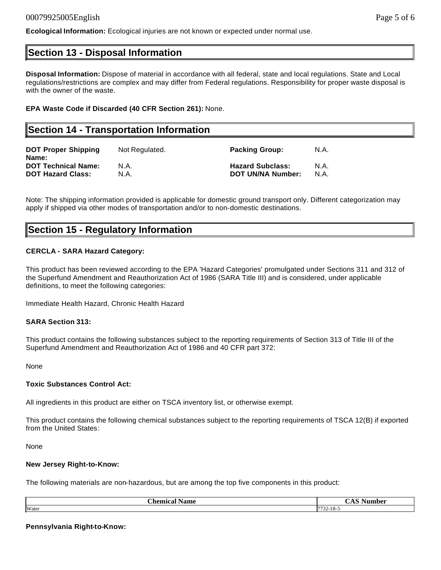### **Section 13 - Disposal Information**

**Disposal Information:** Dispose of material in accordance with all federal, state and local regulations. State and Local regulations/restrictions are complex and may differ from Federal regulations. Responsibility for proper waste disposal is with the owner of the waste.

#### **EPA Waste Code if Discarded (40 CFR Section 261):** None.

### **Section 14 - Transportation Information DOT Proper Shipping Name:** Not Regulated. **Packing Group:** N.A. **DOT Technical Name:** N.A. **Hazard Subclass:** N.A. **DOT Hazard Class:** N.A. **DOT UN/NA Number:** N.A.

Note: The shipping information provided is applicable for domestic ground transport only. Different categorization may apply if shipped via other modes of transportation and/or to non-domestic destinations.

### **Section 15 - Regulatory Information**

### **CERCLA - SARA Hazard Category:**

This product has been reviewed according to the EPA 'Hazard Categories' promulgated under Sections 311 and 312 of the Superfund Amendment and Reauthorization Act of 1986 (SARA Title III) and is considered, under applicable definitions, to meet the following categories:

Immediate Health Hazard, Chronic Health Hazard

#### **SARA Section 313:**

This product contains the following substances subject to the reporting requirements of Section 313 of Title III of the Superfund Amendment and Reauthorization Act of 1986 and 40 CFR part 372:

None

#### **Toxic Substances Control Act:**

All ingredients in this product are either on TSCA inventory list, or otherwise exempt.

This product contains the following chemical substances subject to the reporting requirements of TSCA 12(B) if exported from the United States:

None

#### **New Jersey Right-to-Know:**

The following materials are non-hazardous, but are among the top five components in this product:

| $\sim$        | $\sim$ $\sim$            |
|---------------|--------------------------|
| <b>hemica</b> | $\overline{\phantom{a}}$ |
| Name          | umber                    |
| 11.AI         | ◡љ                       |
| Water         | 772210<br>:-18-24        |

#### **Pennsylvania Right-to-Know:**